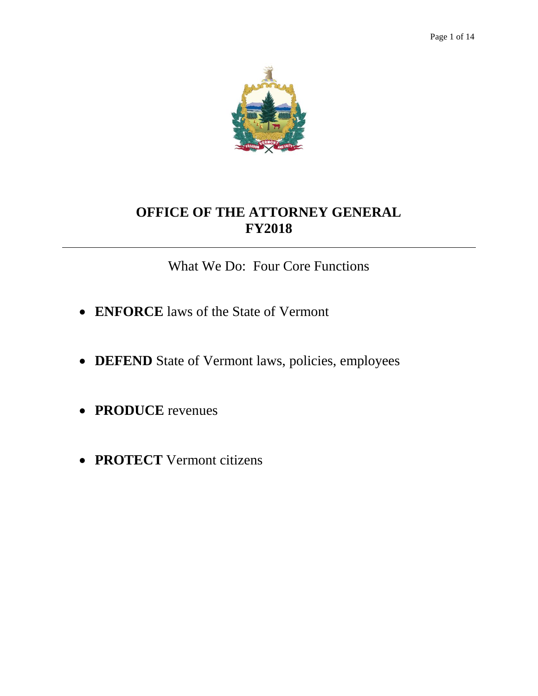

What We Do: Four Core Functions

- **ENFORCE** laws of the State of Vermont
- DEFEND State of Vermont laws, policies, employees
- **PRODUCE** revenues
- **PROTECT** Vermont citizens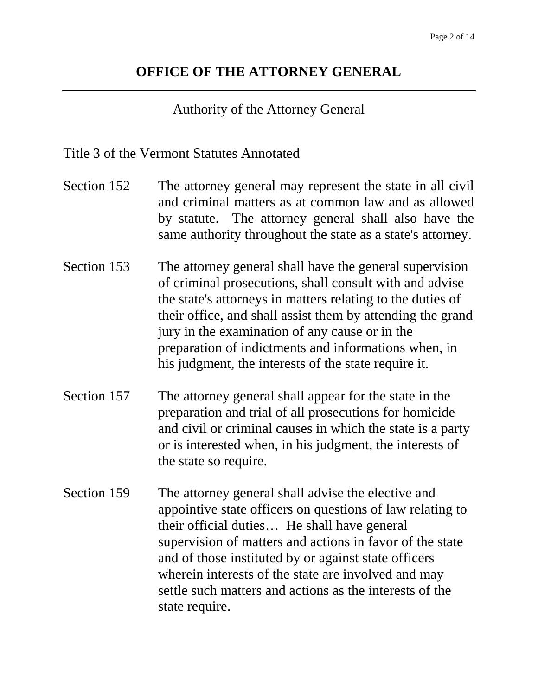## Authority of the Attorney General

## Title 3 of the Vermont Statutes Annotated

- Section 152 The attorney general may represent the state in all civil and criminal matters as at common law and as allowed by statute. The attorney general shall also have the same authority throughout the state as a state's attorney.
- Section 153 The attorney general shall have the general supervision of criminal prosecutions, shall consult with and advise the state's attorneys in matters relating to the duties of their office, and shall assist them by attending the grand jury in the examination of any cause or in the preparation of indictments and informations when, in his judgment, the interests of the state require it.
- Section 157 The attorney general shall appear for the state in the preparation and trial of all prosecutions for homicide and civil or criminal causes in which the state is a party or is interested when, in his judgment, the interests of the state so require.
- Section 159 The attorney general shall advise the elective and appointive state officers on questions of law relating to their official duties… He shall have general supervision of matters and actions in favor of the state and of those instituted by or against state officers wherein interests of the state are involved and may settle such matters and actions as the interests of the state require.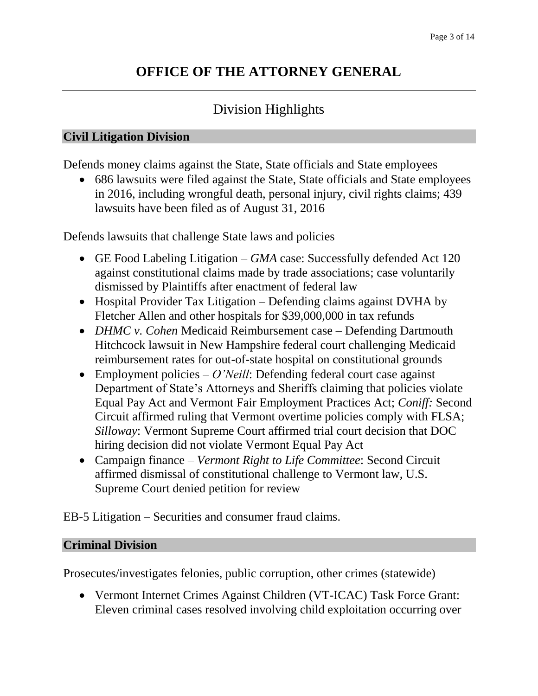# Division Highlights

### **Civil Litigation Division**

Defends money claims against the State, State officials and State employees

 686 lawsuits were filed against the State, State officials and State employees in 2016, including wrongful death, personal injury, civil rights claims; 439 lawsuits have been filed as of August 31, 2016

Defends lawsuits that challenge State laws and policies

- GE Food Labeling Litigation *GMA* case: Successfully defended Act 120 against constitutional claims made by trade associations; case voluntarily dismissed by Plaintiffs after enactment of federal law
- Hospital Provider Tax Litigation Defending claims against DVHA by Fletcher Allen and other hospitals for \$39,000,000 in tax refunds
- *DHMC v. Cohen* Medicaid Reimbursement case Defending Dartmouth Hitchcock lawsuit in New Hampshire federal court challenging Medicaid reimbursement rates for out-of-state hospital on constitutional grounds
- Employment policies *O'Neill*: Defending federal court case against Department of State's Attorneys and Sheriffs claiming that policies violate Equal Pay Act and Vermont Fair Employment Practices Act; *Coniff:* Second Circuit affirmed ruling that Vermont overtime policies comply with FLSA; *Silloway*: Vermont Supreme Court affirmed trial court decision that DOC hiring decision did not violate Vermont Equal Pay Act
- Campaign finance *Vermont Right to Life Committee*: Second Circuit affirmed dismissal of constitutional challenge to Vermont law, U.S. Supreme Court denied petition for review

EB-5 Litigation – Securities and consumer fraud claims.

### **Criminal Division**

Prosecutes/investigates felonies, public corruption, other crimes (statewide)

 Vermont Internet Crimes Against Children (VT-ICAC) Task Force Grant: Eleven criminal cases resolved involving child exploitation occurring over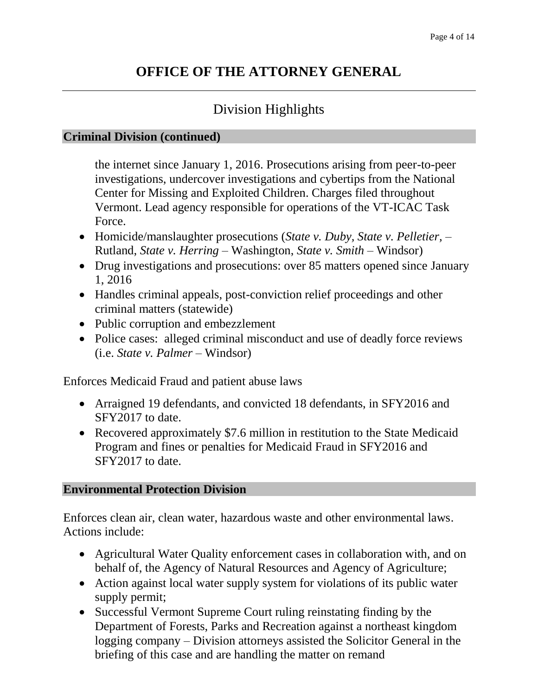# Division Highlights

#### **Criminal Division (continued)**

the internet since January 1, 2016. Prosecutions arising from peer-to-peer investigations, undercover investigations and cybertips from the National Center for Missing and Exploited Children. Charges filed throughout Vermont. Lead agency responsible for operations of the VT-ICAC Task Force.

- Homicide/manslaughter prosecutions (*State v. Duby, State v. Pelletier,*  Rutland, *State v. Herring* – Washington, *State v. Smith* – Windsor)
- Drug investigations and prosecutions: over 85 matters opened since January 1, 2016
- Handles criminal appeals, post-conviction relief proceedings and other criminal matters (statewide)
- Public corruption and embezzlement
- Police cases: alleged criminal misconduct and use of deadly force reviews (i.e. *State v. Palmer* – Windsor)

Enforces Medicaid Fraud and patient abuse laws

- Arraigned 19 defendants, and convicted 18 defendants, in SFY2016 and SFY2017 to date.
- Recovered approximately \$7.6 million in restitution to the State Medicaid Program and fines or penalties for Medicaid Fraud in SFY2016 and SFY2017 to date.

## **Environmental Protection Division**

Enforces clean air, clean water, hazardous waste and other environmental laws. Actions include:

- Agricultural Water Quality enforcement cases in collaboration with, and on behalf of, the Agency of Natural Resources and Agency of Agriculture;
- Action against local water supply system for violations of its public water supply permit;
- Successful Vermont Supreme Court ruling reinstating finding by the Department of Forests, Parks and Recreation against a northeast kingdom logging company – Division attorneys assisted the Solicitor General in the briefing of this case and are handling the matter on remand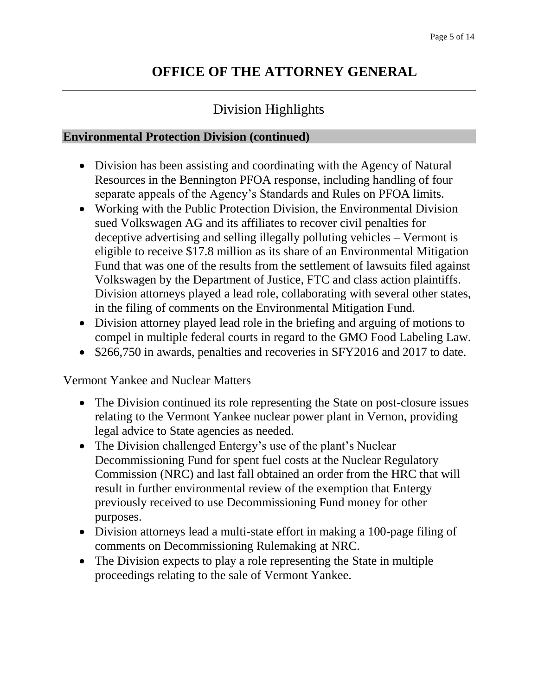# Division Highlights

#### **Environmental Protection Division (continued)**

- Division has been assisting and coordinating with the Agency of Natural Resources in the Bennington PFOA response, including handling of four separate appeals of the Agency's Standards and Rules on PFOA limits.
- Working with the Public Protection Division, the Environmental Division sued Volkswagen AG and its affiliates to recover civil penalties for deceptive advertising and selling illegally polluting vehicles – Vermont is eligible to receive \$17.8 million as its share of an Environmental Mitigation Fund that was one of the results from the settlement of lawsuits filed against Volkswagen by the Department of Justice, FTC and class action plaintiffs. Division attorneys played a lead role, collaborating with several other states, in the filing of comments on the Environmental Mitigation Fund.
- Division attorney played lead role in the briefing and arguing of motions to compel in multiple federal courts in regard to the GMO Food Labeling Law.
- \$266,750 in awards, penalties and recoveries in SFY2016 and 2017 to date.

Vermont Yankee and Nuclear Matters

- The Division continued its role representing the State on post-closure issues relating to the Vermont Yankee nuclear power plant in Vernon, providing legal advice to State agencies as needed.
- The Division challenged Entergy's use of the plant's Nuclear Decommissioning Fund for spent fuel costs at the Nuclear Regulatory Commission (NRC) and last fall obtained an order from the HRC that will result in further environmental review of the exemption that Entergy previously received to use Decommissioning Fund money for other purposes.
- Division attorneys lead a multi-state effort in making a 100-page filing of comments on Decommissioning Rulemaking at NRC.
- The Division expects to play a role representing the State in multiple proceedings relating to the sale of Vermont Yankee.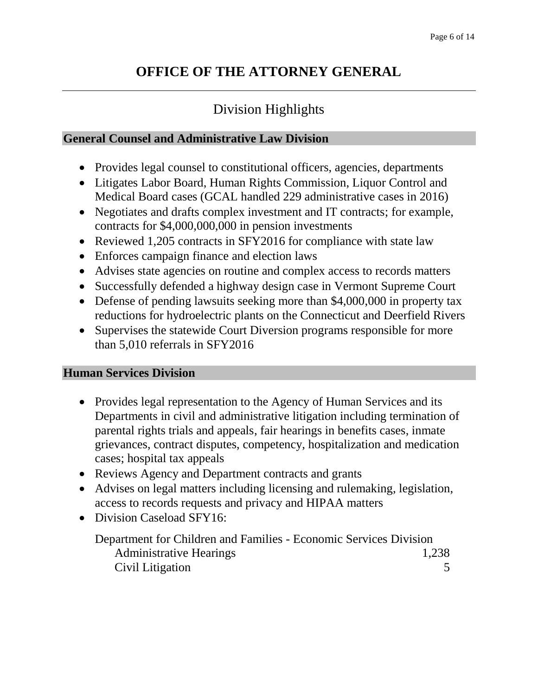# Division Highlights

## **General Counsel and Administrative Law Division**

- Provides legal counsel to constitutional officers, agencies, departments
- Litigates Labor Board, Human Rights Commission, Liquor Control and Medical Board cases (GCAL handled 229 administrative cases in 2016)
- Negotiates and drafts complex investment and IT contracts; for example, contracts for \$4,000,000,000 in pension investments
- Reviewed 1,205 contracts in SFY2016 for compliance with state law
- Enforces campaign finance and election laws
- Advises state agencies on routine and complex access to records matters
- Successfully defended a highway design case in Vermont Supreme Court
- Defense of pending lawsuits seeking more than \$4,000,000 in property tax reductions for hydroelectric plants on the Connecticut and Deerfield Rivers
- Supervises the statewide Court Diversion programs responsible for more than 5,010 referrals in SFY2016

## **Human Services Division**

- Provides legal representation to the Agency of Human Services and its Departments in civil and administrative litigation including termination of parental rights trials and appeals, fair hearings in benefits cases, inmate grievances, contract disputes, competency, hospitalization and medication cases; hospital tax appeals
- Reviews Agency and Department contracts and grants
- Advises on legal matters including licensing and rulemaking, legislation, access to records requests and privacy and HIPAA matters
- Division Caseload SFY16:

Department for Children and Families - Economic Services Division Administrative Hearings 1,238 Civil Litigation 5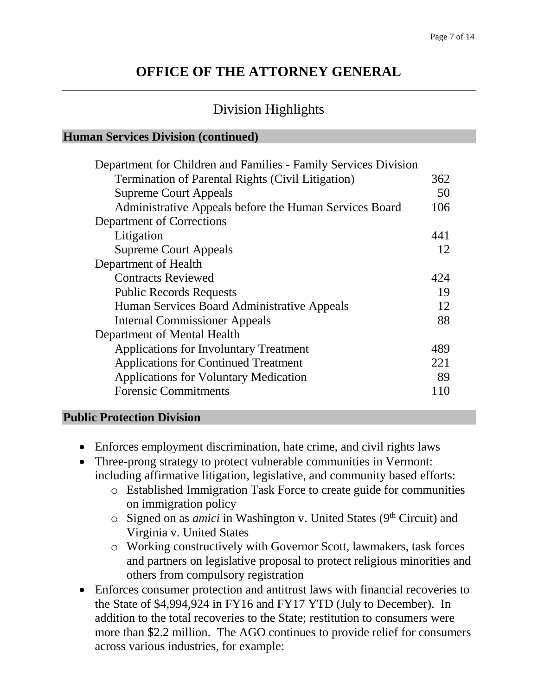# Division Highlights

#### **Human Services Division (continued)**

| Department for Children and Families - Family Services Division |     |
|-----------------------------------------------------------------|-----|
| <b>Termination of Parental Rights (Civil Litigation)</b>        | 362 |
| <b>Supreme Court Appeals</b>                                    | 50  |
| Administrative Appeals before the Human Services Board          | 106 |
| Department of Corrections                                       |     |
| Litigation                                                      | 441 |
| <b>Supreme Court Appeals</b>                                    | 12  |
| Department of Health                                            |     |
| <b>Contracts Reviewed</b>                                       | 424 |
| <b>Public Records Requests</b>                                  | 19  |
| Human Services Board Administrative Appeals                     | 12  |
| <b>Internal Commissioner Appeals</b>                            | 88  |
| Department of Mental Health                                     |     |
| <b>Applications for Involuntary Treatment</b>                   | 489 |
| <b>Applications for Continued Treatment</b>                     | 221 |
| <b>Applications for Voluntary Medication</b>                    | 89  |
| <b>Forensic Commitments</b>                                     | 110 |
|                                                                 |     |

### **Public Protection Division**

- Enforces employment discrimination, hate crime, and civil rights laws
- Three-prong strategy to protect vulnerable communities in Vermont: including affirmative litigation, legislative, and community based efforts:
	- o Established Immigration Task Force to create guide for communities on immigration policy
	- o Signed on as *amici* in Washington v. United States (9<sup>th</sup> Circuit) and Virginia v. United States
	- o Working constructively with Governor Scott, lawmakers, task forces and partners on legislative proposal to protect religious minorities and others from compulsory registration
- Enforces consumer protection and antitrust laws with financial recoveries to the State of \$4,994,924 in FY16 and FY17 YTD (July to December). In addition to the total recoveries to the State; restitution to consumers were more than \$2.2 million. The AGO continues to provide relief for consumers across various industries, for example: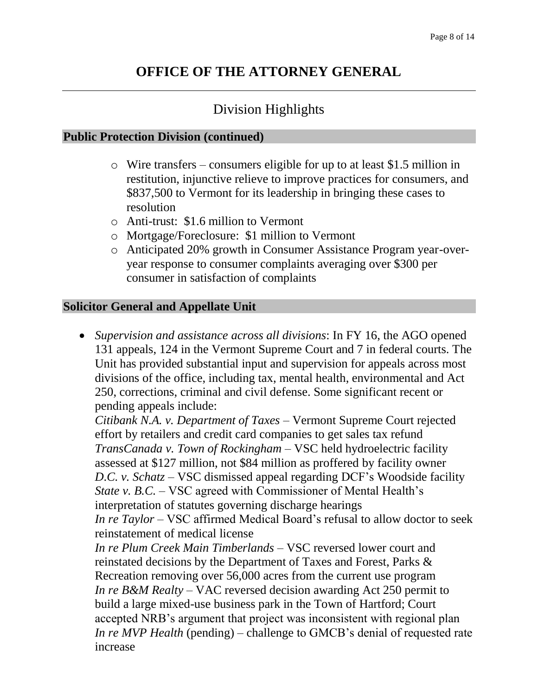# Division Highlights

#### **Public Protection Division (continued)**

- o Wire transfers consumers eligible for up to at least \$1.5 million in restitution, injunctive relieve to improve practices for consumers, and \$837,500 to Vermont for its leadership in bringing these cases to resolution
- o Anti-trust: \$1.6 million to Vermont
- o Mortgage/Foreclosure: \$1 million to Vermont
- o Anticipated 20% growth in Consumer Assistance Program year-overyear response to consumer complaints averaging over \$300 per consumer in satisfaction of complaints

### **Solicitor General and Appellate Unit**

 *Supervision and assistance across all divisions*: In FY 16, the AGO opened 131 appeals, 124 in the Vermont Supreme Court and 7 in federal courts. The Unit has provided substantial input and supervision for appeals across most divisions of the office, including tax, mental health, environmental and Act 250, corrections, criminal and civil defense. Some significant recent or pending appeals include:

*Citibank N.A. v. Department of Taxes* – Vermont Supreme Court rejected effort by retailers and credit card companies to get sales tax refund *TransCanada v. Town of Rockingham* – VSC held hydroelectric facility assessed at \$127 million, not \$84 million as proffered by facility owner *D.C. v. Schatz* – VSC dismissed appeal regarding DCF's Woodside facility *State v. B.C. –* VSC agreed with Commissioner of Mental Health's interpretation of statutes governing discharge hearings *In re Taylor* – VSC affirmed Medical Board's refusal to allow doctor to seek

reinstatement of medical license

*In re Plum Creek Main Timberlands* – VSC reversed lower court and reinstated decisions by the Department of Taxes and Forest, Parks & Recreation removing over 56,000 acres from the current use program *In re B&M Realty* – VAC reversed decision awarding Act 250 permit to build a large mixed-use business park in the Town of Hartford; Court accepted NRB's argument that project was inconsistent with regional plan *In re MVP Health* (pending) – challenge to GMCB's denial of requested rate increase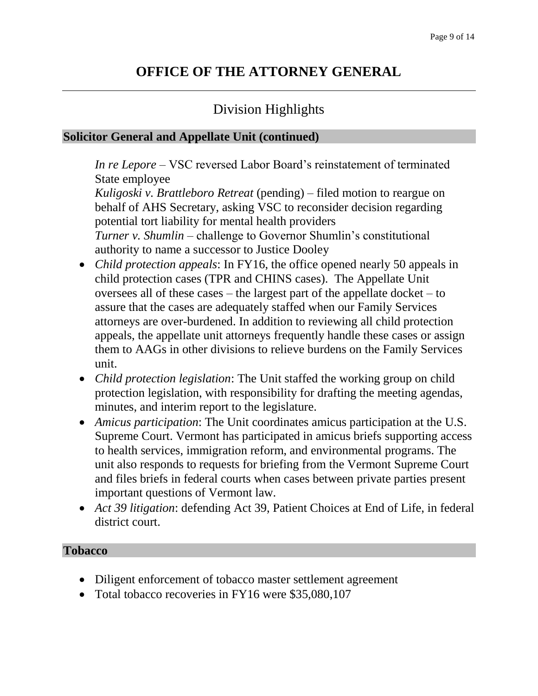# Division Highlights

### **Solicitor General and Appellate Unit (continued)**

*In re Lepore* – VSC reversed Labor Board's reinstatement of terminated State employee

*Kuligoski v. Brattleboro Retreat* (pending) – filed motion to reargue on behalf of AHS Secretary, asking VSC to reconsider decision regarding potential tort liability for mental health providers *Turner v. Shumlin –* challenge to Governor Shumlin's constitutional authority to name a successor to Justice Dooley

- *Child protection appeals*: In FY16, the office opened nearly 50 appeals in child protection cases (TPR and CHINS cases). The Appellate Unit oversees all of these cases – the largest part of the appellate docket – to assure that the cases are adequately staffed when our Family Services attorneys are over-burdened. In addition to reviewing all child protection appeals, the appellate unit attorneys frequently handle these cases or assign them to AAGs in other divisions to relieve burdens on the Family Services unit.
- *Child protection legislation*: The Unit staffed the working group on child protection legislation, with responsibility for drafting the meeting agendas, minutes, and interim report to the legislature.
- *Amicus participation*: The Unit coordinates amicus participation at the U.S. Supreme Court. Vermont has participated in amicus briefs supporting access to health services, immigration reform, and environmental programs. The unit also responds to requests for briefing from the Vermont Supreme Court and files briefs in federal courts when cases between private parties present important questions of Vermont law.
- *Act 39 litigation*: defending Act 39, Patient Choices at End of Life, in federal district court.

### **Tobacco**

- Diligent enforcement of tobacco master settlement agreement
- Total tobacco recoveries in FY16 were \$35,080,107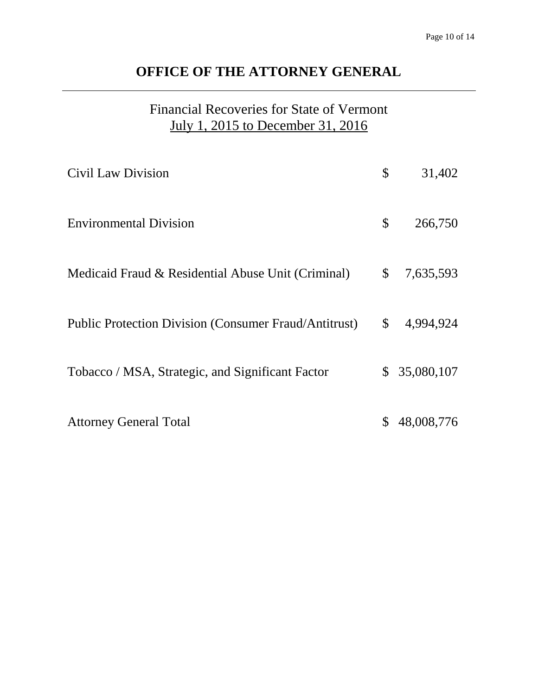# Financial Recoveries for State of Vermont July 1, 2015 to December 31, 2016

| Civil Law Division                                    | $\boldsymbol{\mathsf{S}}$ | 31,402       |
|-------------------------------------------------------|---------------------------|--------------|
| <b>Environmental Division</b>                         | $\mathcal{S}$             | 266,750      |
| Medicaid Fraud & Residential Abuse Unit (Criminal)    | $\mathbb{S}$              | 7,635,593    |
| Public Protection Division (Consumer Fraud/Antitrust) | $\mathbb{S}$              | 4,994,924    |
| Tobacco / MSA, Strategic, and Significant Factor      |                           | \$35,080,107 |
| <b>Attorney General Total</b>                         |                           | 48,008,776   |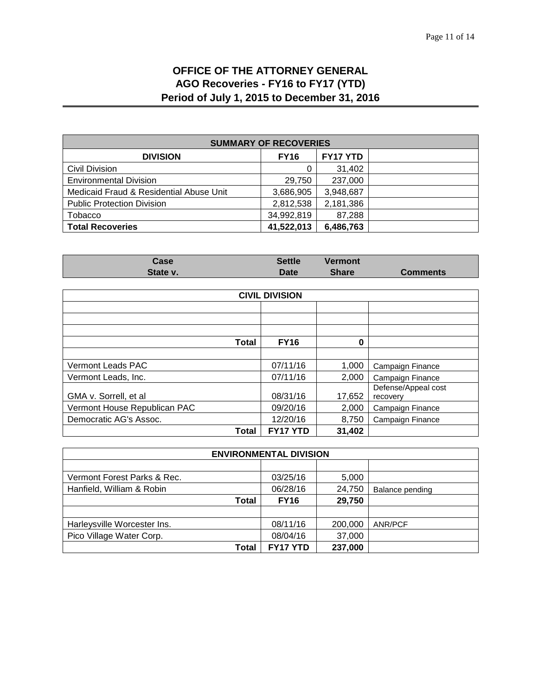### **OFFICE OF THE ATTORNEY GENERAL AGO Recoveries - FY16 to FY17 (YTD) Period of July 1, 2015 to December 31, 2016**

| <b>SUMMARY OF RECOVERIES</b>            |             |                 |  |
|-----------------------------------------|-------------|-----------------|--|
| <b>DIVISION</b>                         | <b>FY16</b> | <b>FY17 YTD</b> |  |
| <b>Civil Division</b>                   | 0           | 31,402          |  |
| <b>Environmental Division</b>           | 29,750      | 237,000         |  |
| Medicaid Fraud & Residential Abuse Unit | 3,686,905   | 3,948,687       |  |
| <b>Public Protection Division</b>       | 2,812,538   | 2,181,386       |  |
| Tobacco                                 | 34,992,819  | 87,288          |  |
| <b>Total Recoveries</b>                 | 41,522,013  | 6,486,763       |  |

| Case     | Settle      | <b>Vermont</b> |                 |
|----------|-------------|----------------|-----------------|
| State v. | <b>Date</b> | <b>Share</b>   | <b>Comments</b> |

| <b>CIVIL DIVISION</b>        |             |        |                                 |  |
|------------------------------|-------------|--------|---------------------------------|--|
|                              |             |        |                                 |  |
|                              |             |        |                                 |  |
|                              |             |        |                                 |  |
| <b>Total</b>                 | <b>FY16</b> | 0      |                                 |  |
|                              |             |        |                                 |  |
| Vermont Leads PAC            | 07/11/16    | 1,000  | Campaign Finance                |  |
| Vermont Leads, Inc.          | 07/11/16    | 2,000  | Campaign Finance                |  |
| GMA v. Sorrell, et al        | 08/31/16    | 17,652 | Defense/Appeal cost<br>recovery |  |
| Vermont House Republican PAC | 09/20/16    | 2,000  | Campaign Finance                |  |
| Democratic AG's Assoc.       | 12/20/16    | 8,750  | Campaign Finance                |  |
| <b>Total</b>                 | FY17 YTD    | 31,402 |                                 |  |

| <b>ENVIRONMENTAL DIVISION</b> |             |         |                 |
|-------------------------------|-------------|---------|-----------------|
|                               |             |         |                 |
| Vermont Forest Parks & Rec.   | 03/25/16    | 5,000   |                 |
| Hanfield, William & Robin     | 06/28/16    | 24,750  | Balance pending |
| Total                         | <b>FY16</b> | 29,750  |                 |
|                               |             |         |                 |
| Harleysville Worcester Ins.   | 08/11/16    | 200,000 | <b>ANR/PCF</b>  |
| Pico Village Water Corp.      | 08/04/16    | 37,000  |                 |
| Total                         | FY17 YTD    | 237,000 |                 |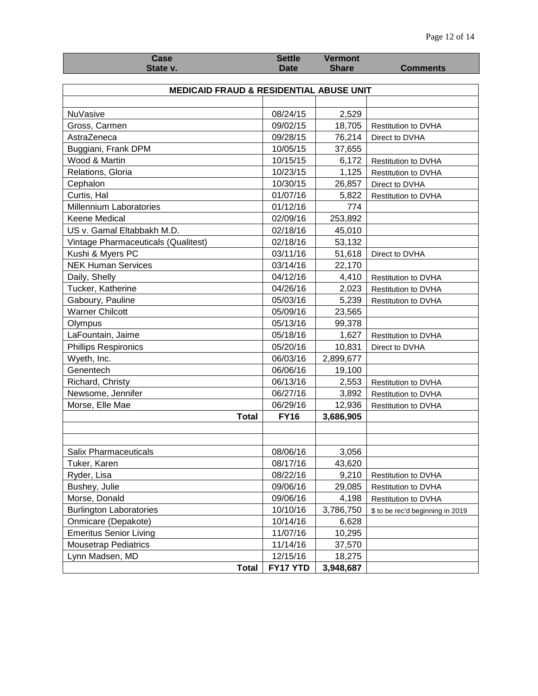| <b>Case</b>                                        | <b>Settle</b> | <b>Vermont</b> |                                  |  |
|----------------------------------------------------|---------------|----------------|----------------------------------|--|
| State v.                                           | <b>Date</b>   | <b>Share</b>   | <b>Comments</b>                  |  |
|                                                    |               |                |                                  |  |
| <b>MEDICAID FRAUD &amp; RESIDENTIAL ABUSE UNIT</b> |               |                |                                  |  |
|                                                    |               |                |                                  |  |
| <b>NuVasive</b>                                    | 08/24/15      | 2,529          |                                  |  |
| Gross, Carmen                                      | 09/02/15      | 18,705         | Restitution to DVHA              |  |
| AstraZeneca                                        | 09/28/15      | 76,214         | Direct to DVHA                   |  |
| Buggiani, Frank DPM                                | 10/05/15      | 37,655         |                                  |  |
| Wood & Martin                                      | 10/15/15      | 6,172          | Restitution to DVHA              |  |
| Relations, Gloria                                  | 10/23/15      | 1,125          | Restitution to DVHA              |  |
| Cephalon                                           | 10/30/15      | 26,857         | Direct to DVHA                   |  |
| Curtis, Hal                                        | 01/07/16      | 5,822          | Restitution to DVHA              |  |
| Millennium Laboratories                            | 01/12/16      | 774            |                                  |  |
| Keene Medical                                      | 02/09/16      | 253,892        |                                  |  |
| US v. Gamal Eltabbakh M.D.                         | 02/18/16      | 45,010         |                                  |  |
| Vintage Pharmaceuticals (Qualitest)                | 02/18/16      | 53,132         |                                  |  |
| Kushi & Myers PC                                   | 03/11/16      | 51,618         | Direct to DVHA                   |  |
| <b>NEK Human Services</b>                          | 03/14/16      | 22,170         |                                  |  |
| Daily, Shelly                                      | 04/12/16      | 4,410          | <b>Restitution to DVHA</b>       |  |
| Tucker, Katherine                                  | 04/26/16      | 2,023          | Restitution to DVHA              |  |
| Gaboury, Pauline                                   | 05/03/16      | 5,239          | Restitution to DVHA              |  |
| <b>Warner Chilcott</b>                             | 05/09/16      | 23,565         |                                  |  |
| Olympus                                            | 05/13/16      | 99,378         |                                  |  |
| LaFountain, Jaime                                  | 05/18/16      | 1,627          | <b>Restitution to DVHA</b>       |  |
| <b>Phillips Respironics</b>                        | 05/20/16      | 10,831         | Direct to DVHA                   |  |
| Wyeth, Inc.                                        | 06/03/16      | 2,899,677      |                                  |  |
| Genentech                                          | 06/06/16      | 19,100         |                                  |  |
| Richard, Christy                                   | 06/13/16      | 2,553          | <b>Restitution to DVHA</b>       |  |
| Newsome, Jennifer                                  | 06/27/16      | 3,892          | Restitution to DVHA              |  |
| Morse, Elle Mae                                    | 06/29/16      | 12,936         |                                  |  |
| <b>Total</b>                                       | <b>FY16</b>   | 3,686,905      | Restitution to DVHA              |  |
|                                                    |               |                |                                  |  |
|                                                    |               |                |                                  |  |
| Salix Pharmaceuticals                              | 08/06/16      | 3,056          |                                  |  |
| Tuker, Karen                                       | 08/17/16      | 43,620         |                                  |  |
| Ryder, Lisa                                        | 08/22/16      | 9,210          |                                  |  |
|                                                    |               |                | Restitution to DVHA              |  |
| Bushey, Julie                                      | 09/06/16      | 29,085         | Restitution to DVHA              |  |
| Morse, Donald                                      | 09/06/16      | 4,198          | Restitution to DVHA              |  |
| <b>Burlington Laboratories</b>                     | 10/10/16      | 3,786,750      | \$ to be rec'd beginning in 2019 |  |
| Onmicare (Depakote)                                | 10/14/16      | 6,628          |                                  |  |
| <b>Emeritus Senior Living</b>                      | 11/07/16      | 10,295         |                                  |  |
| <b>Mousetrap Pediatrics</b>                        | 11/14/16      | 37,570         |                                  |  |
| Lynn Madsen, MD                                    | 12/15/16      | 18,275         |                                  |  |
| <b>Total</b>                                       | FY17 YTD      | 3,948,687      |                                  |  |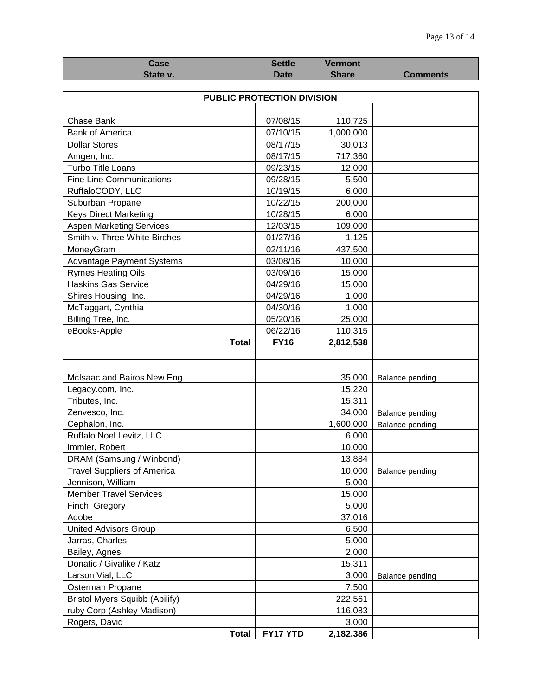| Case                                  | <b>Settle</b>              | <b>Vermont</b> |                 |  |
|---------------------------------------|----------------------------|----------------|-----------------|--|
| State v.                              | <b>Date</b>                | <b>Share</b>   | <b>Comments</b> |  |
|                                       |                            |                |                 |  |
|                                       | PUBLIC PROTECTION DIVISION |                |                 |  |
|                                       |                            |                |                 |  |
| Chase Bank                            | 07/08/15                   | 110,725        |                 |  |
| <b>Bank of America</b>                | 07/10/15                   | 1,000,000      |                 |  |
| <b>Dollar Stores</b>                  | 08/17/15                   | 30,013         |                 |  |
| Amgen, Inc.                           | 08/17/15                   | 717,360        |                 |  |
| Turbo Title Loans                     | 09/23/15                   | 12,000         |                 |  |
| <b>Fine Line Communications</b>       | 09/28/15                   | 5,500          |                 |  |
| RuffaloCODY, LLC                      | 10/19/15                   | 6,000          |                 |  |
| Suburban Propane                      | 10/22/15                   | 200,000        |                 |  |
| <b>Keys Direct Marketing</b>          | 10/28/15                   | 6,000          |                 |  |
| <b>Aspen Marketing Services</b>       | 12/03/15                   | 109,000        |                 |  |
| Smith v. Three White Birches          | 01/27/16                   | 1,125          |                 |  |
| MoneyGram                             | 02/11/16                   | 437,500        |                 |  |
| <b>Advantage Payment Systems</b>      | 03/08/16                   | 10,000         |                 |  |
| <b>Rymes Heating Oils</b>             | 03/09/16                   | 15,000         |                 |  |
| <b>Haskins Gas Service</b>            | 04/29/16                   | 15,000         |                 |  |
| Shires Housing, Inc.                  | 04/29/16                   | 1,000          |                 |  |
| McTaggart, Cynthia                    | 04/30/16                   | 1,000          |                 |  |
| Billing Tree, Inc.                    | 05/20/16                   | 25,000         |                 |  |
| eBooks-Apple                          | 06/22/16                   | 110,315        |                 |  |
| <b>Total</b>                          | <b>FY16</b>                | 2,812,538      |                 |  |
|                                       |                            |                |                 |  |
|                                       |                            |                |                 |  |
| McIsaac and Bairos New Eng.           |                            | 35,000         | Balance pending |  |
| Legacy.com, Inc.                      |                            | 15,220         |                 |  |
| Tributes, Inc.                        |                            | 15,311         |                 |  |
| Zenvesco, Inc.                        |                            | 34,000         | Balance pending |  |
| Cephalon, Inc.                        |                            | 1,600,000      | Balance pending |  |
| Ruffalo Noel Levitz, LLC              |                            | 6,000          |                 |  |
| Immler, Robert                        |                            | 10,000         |                 |  |
| DRAM (Samsung / Winbond)              |                            | 13,884         |                 |  |
| <b>Travel Suppliers of America</b>    |                            | 10,000         | Balance pending |  |
| Jennison, William                     |                            | 5,000          |                 |  |
| <b>Member Travel Services</b>         |                            | 15,000         |                 |  |
| Finch, Gregory                        |                            | 5,000          |                 |  |
| Adobe                                 |                            | 37,016         |                 |  |
| <b>United Advisors Group</b>          |                            | 6,500          |                 |  |
| Jarras, Charles                       |                            | 5,000          |                 |  |
| Bailey, Agnes                         |                            | 2,000          |                 |  |
| Donatic / Givalike / Katz             |                            | 15,311         |                 |  |
| Larson Vial, LLC                      |                            | 3,000          | Balance pending |  |
| Osterman Propane                      |                            | 7,500          |                 |  |
| <b>Bristol Myers Squibb (Abilify)</b> |                            | 222,561        |                 |  |
| ruby Corp (Ashley Madison)            |                            | 116,083        |                 |  |
| Rogers, David                         |                            | 3,000          |                 |  |
| <b>Total</b>                          | FY17 YTD                   | 2,182,386      |                 |  |